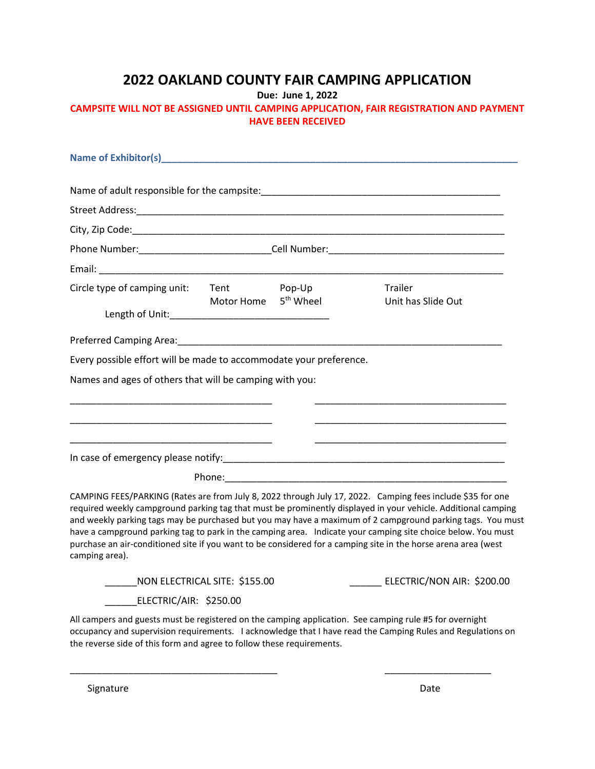## **2022 OAKLAND COUNTY FAIR CAMPING APPLICATION**

**Due: June 1, 2022**

## **CAMPSITE WILL NOT BE ASSIGNED UNTIL CAMPING APPLICATION, FAIR REGISTRATION AND PAYMENT HAVE BEEN RECEIVED**

| Circle type of camping unit: Tent Pop-Up                              |                                  | Trailer                                                                                                                                                                                                                                                                                                                                                                                                                                                                                                                                                                     |
|-----------------------------------------------------------------------|----------------------------------|-----------------------------------------------------------------------------------------------------------------------------------------------------------------------------------------------------------------------------------------------------------------------------------------------------------------------------------------------------------------------------------------------------------------------------------------------------------------------------------------------------------------------------------------------------------------------------|
|                                                                       | Motor Home 5 <sup>th</sup> Wheel | Unit has Slide Out                                                                                                                                                                                                                                                                                                                                                                                                                                                                                                                                                          |
|                                                                       |                                  |                                                                                                                                                                                                                                                                                                                                                                                                                                                                                                                                                                             |
| Every possible effort will be made to accommodate your preference.    |                                  |                                                                                                                                                                                                                                                                                                                                                                                                                                                                                                                                                                             |
| Names and ages of others that will be camping with you:               |                                  | the control of the control of the control of the control of the control of the control of the control of the control of the control of the control of the control of the control of the control of the control of the control                                                                                                                                                                                                                                                                                                                                               |
|                                                                       |                                  |                                                                                                                                                                                                                                                                                                                                                                                                                                                                                                                                                                             |
|                                                                       |                                  |                                                                                                                                                                                                                                                                                                                                                                                                                                                                                                                                                                             |
| camping area).                                                        |                                  | CAMPING FEES/PARKING (Rates are from July 8, 2022 through July 17, 2022. Camping fees include \$35 for one<br>required weekly campground parking tag that must be prominently displayed in your vehicle. Additional camping<br>and weekly parking tags may be purchased but you may have a maximum of 2 campground parking tags. You must<br>have a campground parking tag to park in the camping area. Indicate your camping site choice below. You must<br>purchase an air-conditioned site if you want to be considered for a camping site in the horse arena area (west |
| NON ELECTRICAL SITE: \$155.00                                         |                                  | ___ ELECTRIC/NON AIR: \$200.00                                                                                                                                                                                                                                                                                                                                                                                                                                                                                                                                              |
| ELECTRIC/AIR: \$250.00                                                |                                  |                                                                                                                                                                                                                                                                                                                                                                                                                                                                                                                                                                             |
| the reverse side of this form and agree to follow these requirements. |                                  | All campers and guests must be registered on the camping application. See camping rule #5 for overnight<br>occupancy and supervision requirements. I acknowledge that I have read the Camping Rules and Regulations on                                                                                                                                                                                                                                                                                                                                                      |

\_\_\_\_\_\_\_\_\_\_\_\_\_\_\_\_\_\_\_\_\_\_\_\_\_\_\_\_\_\_\_\_\_\_\_\_\_\_\_ \_\_\_\_\_\_\_\_\_\_\_\_\_\_\_\_\_\_\_\_

Signature Date Date Communications and the Date Date Date Date